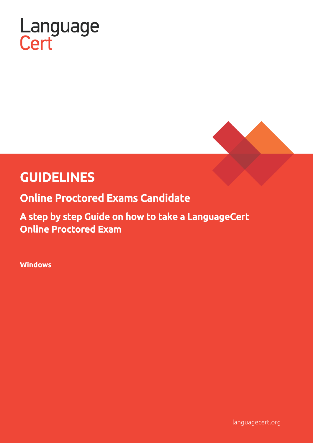



# GUIDELINES

Online Proctored Exams Candidate

A step by step Guide on how to take a LanguageCert Online Proctored Exam

**Windows**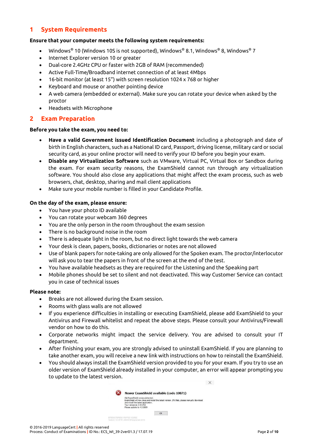### **1 System Requirements**

#### **Ensure that your computer meets the following system requirements:**

- Windows® 10 (Windows 10S is not supported), Windows® 8.1, Windows® 8, Windows® 7
- Internet Explorer version 10 or greater
- Dual-core 2.4GHz CPU or faster with 2GB of RAM (recommended)
- Active Full-Time/Broadband internet connection of at least 4Mbps
- 16-bit monitor (at least 15") with screen resolution 1024 x 768 or higher
- Keyboard and mouse or another pointing device
- A web camera (embedded or external). Make sure you can rotate your device when asked by the proctor
- Headsets with Microphone

#### **2 Exam Preparation**

#### **Before you take the exam, you need to:**

- **Have a valid Government issued Identification Document** including a photograph and date of birth in English characters, such as a National ID card, Passport, driving license, military card or social security card, as your online proctor will need to verify your ID before you begin your exam.
- **Disable any Virtualization Software** such as VMware, Virtual PC, Virtual Box or Sandbox during the exam. For exam security reasons, the ExamShield cannot run through any virtualization software. You should also close any applications that might affect the exam process, such as web browsers, chat, desktop, sharing and mail client applications
- Make sure your mobile number is filled in your Candidate Profile.

#### **On the day of the exam, please ensure:**

- You have your photo ID available
- You can rotate your webcam 360 degrees
- You are the only person in the room throughout the exam session
- There is no background noise in the room
- There is adequate light in the room, but no direct light towards the web camera
- Your desk is clean, papers, books, dictionaries or notes are not allowed
- Use of blank papers for note-taking are only allowed for the Spoken exam. The proctor/interlocutor will ask you to tear the papers in front of the screen at the end of the test.
- You have available headsets as they are required for the Listening and the Speaking part
- Mobile phones should be set to silent and not deactivated. This way Customer Service can contact you in case of technical issues

#### **Please note:**

- Breaks are not allowed during the Exam session.
- Rooms with glass walls are not allowed
- If you experience difficulties in installing or executing ExamShield, please add ExamShield to your Antivirus and Firewall whitelist and repeat the above steps. Please consult your Antivirus/Firewall vendor on how to do this.
- Corporate networks might impact the service delivery. You are advised to consult your IT department.
- After finishing your exam, you are strongly advised to uninstall ExamShield. If you are planning to take another exam, you will receive a new link with instructions on how to reinstall the ExamShield.
- You should always install the ExamShield version provided to you for your exam. If you try to use an older version of ExamShield already installed in your computer, an error will appear prompting you to update to the latest version.

 $\times$ 

| Newer ExamShield available (code 10071)                                                                                                                                                                                            |
|------------------------------------------------------------------------------------------------------------------------------------------------------------------------------------------------------------------------------------|
| Old ExamShield version detected.<br>ExamShield will now dose and install the latest version. If it fails, please manually download<br>and install the latest application.<br>Your version is 3.4.6761<br>Please update to 4.0.6889 |
|                                                                                                                                                                                                                                    |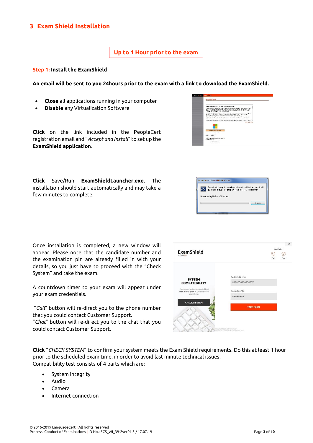## **3 Exam Shield Installation**

**Up to 1 Hour prior to the exam**

#### **Step 1: Install the ExamShield**

**An email will be sent to you 24hours prior to the exam with a link to download the ExamShield.**

- **Close** all applications running in your computer
- **Disable** any Virtualization Software

**Click** on the link included in the PeopleCert registration email and "*Accept and Install*" to set up the **ExamShield application**.



**Click** Save/Run **ExamShieldLauncher.exe**. The installation should start automatically and may take a few minutes to complete.



Once installation is completed, a new window will appear. Please note that the candidate number and the examination pin are already filled in with your details, so you just have to proceed with the "Check System" and take the exam.

A countdown timer to your exam will appear under your exam credentials.

"*Call*" button will re-direct you to the phone number that you could contact Customer Support.

"*Chat*" button will re-direct you to the chat that you could contact Customer Support.



**Click** "*CHECK SYSTEM*" to confirm your system meets the Exam Shield requirements. Do this at least 1 hour prior to the scheduled exam time, in order to avoid last minute technical issues. Compatibility test consists of 4 parts which are:

- System integrity
- Audio
- Camera
- Internet connection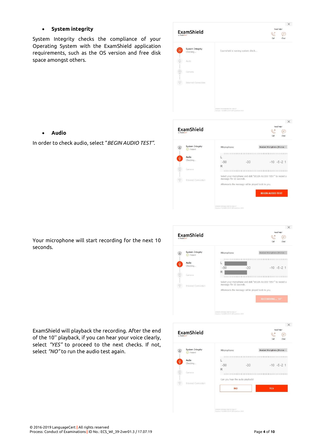#### • **System integrity**

System Integrity checks the compliance of your Operating System with the ExamShield application requirements, such as the OS version and free disk space amongst others.

|                                                                                                                                                                                                                                                                                                                                                                                                                                                                                                  |                              |                                                                             |            | х    |
|--------------------------------------------------------------------------------------------------------------------------------------------------------------------------------------------------------------------------------------------------------------------------------------------------------------------------------------------------------------------------------------------------------------------------------------------------------------------------------------------------|------------------------------|-----------------------------------------------------------------------------|------------|------|
|                                                                                                                                                                                                                                                                                                                                                                                                                                                                                                  | ExamShield                   |                                                                             | Need help? |      |
| by PeopleCert"                                                                                                                                                                                                                                                                                                                                                                                                                                                                                   |                              |                                                                             | B          | Ξ    |
|                                                                                                                                                                                                                                                                                                                                                                                                                                                                                                  |                              |                                                                             | Call       | Chat |
|                                                                                                                                                                                                                                                                                                                                                                                                                                                                                                  | System Integrity<br>Checking | Examshield is running system check                                          |            |      |
|                                                                                                                                                                                                                                                                                                                                                                                                                                                                                                  | Audio                        |                                                                             |            |      |
| $\text{on}(\mathcal{O})\text{ and } \text{on}(\mathcal{O})\text{ and } \text{on}(\mathcal{O})\text{ and } \text{on}(\mathcal{O})\text{ and } \text{on}(\mathcal{O})\text{ and } \text{on}(\mathcal{O})\text{ and } \text{on}(\mathcal{O})\text{ and } \text{on}(\mathcal{O})\text{ and } \text{on}(\mathcal{O})\text{ and } \text{on}(\mathcal{O})\text{ and } \text{on}(\mathcal{O})\text{ and } \text{on}(\mathcal{O})\text{ and } \text{on}(\mathcal{O})\text{ and } \text{on}(\mathcal{O})\$ | Camera                       |                                                                             |            |      |
|                                                                                                                                                                                                                                                                                                                                                                                                                                                                                                  | Internet Connection          |                                                                             |            |      |
|                                                                                                                                                                                                                                                                                                                                                                                                                                                                                                  |                              |                                                                             |            |      |
|                                                                                                                                                                                                                                                                                                                                                                                                                                                                                                  |                              | EPSERCTS FEBS (SBFF30 \$06227)<br>Versoni 4.0.6689.31134 (SPeopleCert 2018) |            |      |
|                                                                                                                                                                                                                                                                                                                                                                                                                                                                                                  |                              |                                                                             |            |      |

#### • **Audio**

In order to check audio, select "*BEGIN AUDIO TEST".*



Your microphone will start recording for the next 10 seconds.



ExamShield will playback the recording. After the end of the 10'' playback, if you can hear your voice clearly, select *"YES"* to proceed to the next checks. If not, select *"NO"* to run the audio test again.

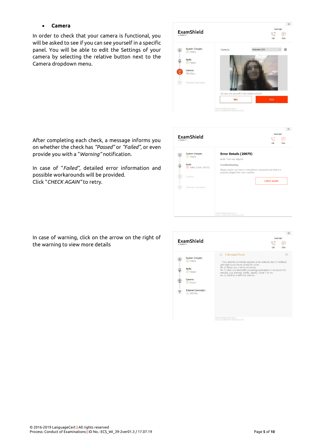#### • **Camera**

In order to check that your camera is functional, you will be asked to see if you can see yourself in a specific panel. You will be able to edit the Settings of your camera by selecting the relative button next to the Camera dropdown menu.



After completing each check, a message informs you on whether the check has *"Passed"* or *"Failed",* or even provide you with a "*Warning"* notification.

In case of "*Failed",* detailed error information and possible workarounds will be provided. Click "*CHECK AGAIN"* to retry.

| by PeopleCert* | ExamShield                          | Need help?<br>K<br>Call<br>Chat                                                                     |
|----------------|-------------------------------------|-----------------------------------------------------------------------------------------------------|
| ā,             | <b>System Integrity</b><br>⊙ Passed | <b>Error Details (20075)</b><br>Audio Test was skipped                                              |
| Ö              | Audio                               | <b>Troubleshooting</b>                                                                              |
|                | 8 Falled. (Code: 20075)             | Please ensure you have a microphone connected and that it is<br>properly plugged into your machine. |
|                | Camera                              | <b>CHECK AGAIN</b>                                                                                  |
|                | <b>Internet Connection</b>          |                                                                                                     |
|                |                                     |                                                                                                     |
|                |                                     |                                                                                                     |
|                |                                     |                                                                                                     |
|                |                                     | 2F6E9A5BFEB6AFBFF56 511715<br>Version: 4.0.6899.18265 @PeopleCert 2018                              |

In case of warning, click on the arrow on the right of the warning to view more details

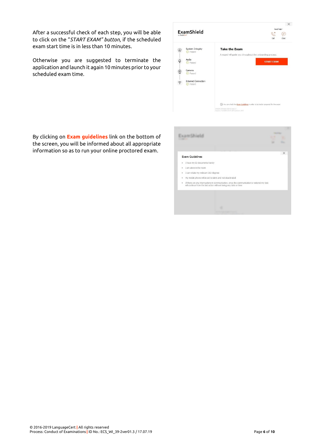After a successful check of each step, you will be able to click on the "*START EXAM" button,* if the scheduled exam start time is in less than 10 minutes.

Otherwise you are suggested to terminate the application and launch it again 10 minutes prior to your scheduled exam time.

|               |                                           | Need help?                                                                         |
|---------------|-------------------------------------------|------------------------------------------------------------------------------------|
| by PeopleCert | ExamShield                                | $\mathbb{C}^2$<br>Cal<br>Chat                                                      |
| ⊕             | System Integrity<br>Passed<br>⋒           | <b>Take the Exam</b>                                                               |
| Q             | Audio<br><b>O</b> Passed                  | A wizard will guide you throughout the onboarding process.<br><b>START EXAM</b>    |
| Q             | Camera<br><b>O</b> Passed                 |                                                                                    |
| ゔ             | <b>Internet Connection</b><br>Passed<br>⊙ |                                                                                    |
|               |                                           |                                                                                    |
|               |                                           | (i) You can check the Exam Guidelines in order to be better prepared for the exam! |
|               |                                           | UPGERC/UPERBIFUFF-30 SOLZZ7<br>Versions 4.0.6885.71334 @PeopleCert.2018            |

By clicking on **Exam guidelines** link on the bottom of the screen, you will be informed about all appropriate information so as to run your online proctored exam.

|                                                                                                                                                                   |                                                        | $\times$ |
|-------------------------------------------------------------------------------------------------------------------------------------------------------------------|--------------------------------------------------------|----------|
| <b>Exam Guidelines</b>                                                                                                                                            |                                                        |          |
|                                                                                                                                                                   |                                                        |          |
|                                                                                                                                                                   |                                                        |          |
|                                                                                                                                                                   |                                                        |          |
| I can rotate my webcam 360 degrees                                                                                                                                |                                                        |          |
| My mobile phone will be set to silent and not deactivated                                                                                                         |                                                        |          |
| If there are any interruptions in communication, once the communication is restored my test<br>will continue from the last action without losing any data or time |                                                        |          |
|                                                                                                                                                                   |                                                        |          |
|                                                                                                                                                                   |                                                        |          |
|                                                                                                                                                                   |                                                        |          |
|                                                                                                                                                                   |                                                        |          |
|                                                                                                                                                                   |                                                        |          |
|                                                                                                                                                                   |                                                        |          |
|                                                                                                                                                                   | I have my ID documents handy<br>I am alone in the room |          |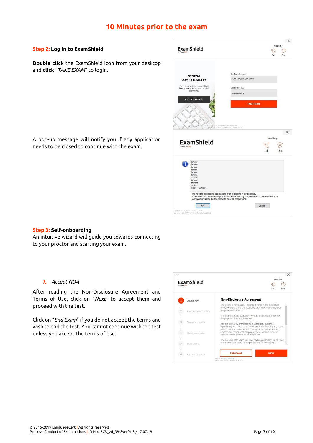# **10 Minutes prior to the exam**

#### **Step 2: Log In to ExamShield**

**Double click** the ExamShield icon from your desktop and **click** "*TAKE EXAM*" to login.

 $\times$ ExamShield  $\mathbb{C}^7$  $\epsilon$ Candidate Numbe **SYSTEM COMPATIBILITY** 9980056800258357 Check your system compatibility a<br>least 1 hour prior to the scheduled Examination PIN ........ **CHECK SYSTEM TAKE EXAM**  $\times$ ExamShield ⊜  $C<sub>2</sub>$ Chat We need to close some applications prior to logging in to the exam.<br>ExamShield will close these applications before starting the examination. Please save you<br>work and press the button below to close all applications. Cancel  $\overline{\phantom{a}}$  ok

A pop-up message will notify you if any application needs to be closed to continue with the exam.

#### **Step 3: Self-onboarding**

An intuitive wizard will guide you towards connecting to your proctor and starting your exam.

#### *1. Accept NDA*

After reading the Non-Disclosure Agreement and Terms of Use, click on "*Next*" to accept them and proceed with the test.

Click on "*End Exam*" if you do not accept the terms and wish to end the test. You cannot continue with the test unless you accept the terms of use.

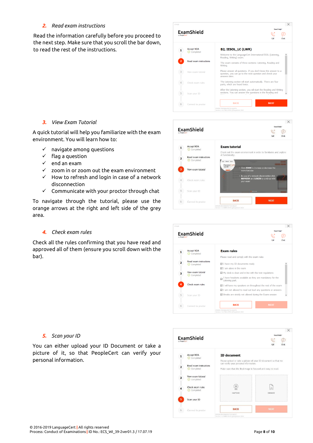#### *2. Read exam instructions*

Read the information carefully before you proceed to the next step. Make sure that you scroll the bar down, to read the rest of the instructions.



#### *3. View Exam Tutorial*

A quick tutorial will help you familiarize with the exam environment. You will learn how to:

- $\checkmark$  navigate among questions
- ✓ flag a question
- ✓ end an exam
- $\checkmark$  zoom in or zoom out the exam environment
- $\checkmark$  How to refresh and login in case of a network disconnection
- ✓ Communicate with your proctor through chat

To navigate through the tutorial, please use the orange arrows at the right and left side of the grey area.

#### *4. Check exam rules*

Check all the rules confirming that you have read and approved all of them (ensure you scroll down with the bar).



|                                              |                                                                                        | $\times$           |
|----------------------------------------------|----------------------------------------------------------------------------------------|--------------------|
|                                              |                                                                                        | Need help?         |
|                                              |                                                                                        | ୧୯<br>Call<br>Chat |
|                                              |                                                                                        |                    |
| ⊙ Completed                                  |                                                                                        |                    |
|                                              | Please read and comply with the exam rules                                             |                    |
| <b>Read exam instructions</b><br>⊙ Completed | $\boxtimes$ I have my ID documents ready                                               |                    |
|                                              | $\nabla$ I am alone in the room                                                        |                    |
|                                              | $\boxtimes$ My desk is clean and in line with the test regulations                     |                    |
|                                              | I have headsets available as they are mandatory for the<br>Listening part.             |                    |
| Check exam rules                             | ☑ I will have my speakers on throughout the rest of the exam                           |                    |
|                                              | $\boxtimes$ I am not alowed to read out loud any questions or answers                  |                    |
| Scan your ID                                 | ☑ Breaks are strictly not allowed during the Exam session                              |                    |
|                                              | <b>BACK</b>                                                                            | <b>NEXT</b>        |
|                                              | ExamShield<br>by PeopleCert"<br><b>Accept NDA</b><br>View exam tutorial<br>⊙ Completed | <b>Exam rules</b>  |

#### *5. Scan your ID*

You can either upload your ID Document or take a picture of it, so that PeopleCert can verify your personal information.

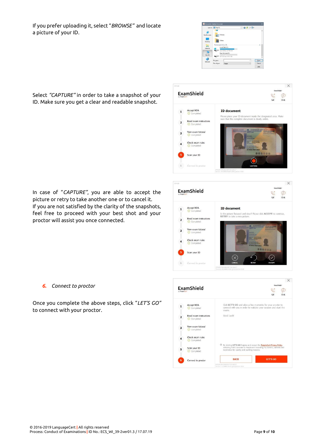If you prefer uploading it, select "*BROWSE"* and locate a picture of your ID.





In case of "*CAPTURE"*, you are able to accept the picture or retry to take another one or to cancel it. If you are not satisfied by the clarity of the snapshots, feel free to proceed with your best shot and your proctor will assist you once connected.



*6. Connect to proctor*

Once you complete the above steps, click "*LET'S GO"* to connect with your proctor.



Select *"CAPTURE"* in order to take a snapshot of your ID. Make sure you get a clear and readable snapshot.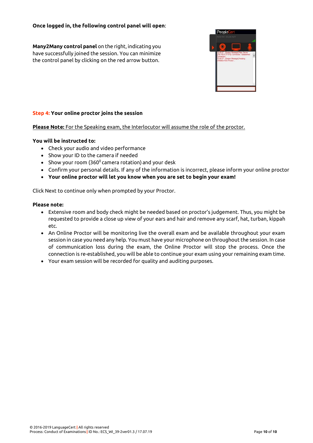#### **Once logged in, the following control panel will open**:

**Many2Many control panel** on the right, indicating you have successfully joined the session. You can minimize the control panel by clicking on the red arrow button.



#### **Step 4: Your online proctor joins the session**

**Please Note:** For the Speaking exam, the Interlocutor will assume the role of the proctor.

#### **You will be instructed to:**

- Check your audio and video performance
- Show your ID to the camera if needed
- Show your room (360 $^{\circ}$  camera rotation) and your desk
- Confirm your personal details. If any of the information is incorrect, please inform your online proctor
- **Your online proctor will let you know when you are set to begin your exam!**

Click Next to continue only when prompted by your Proctor.

#### **Please note:**

- Extensive room and body check might be needed based on proctor's judgement. Thus, you might be requested to provide a close up view of your ears and hair and remove any scarf, hat, turban, kippah etc.
- An Online Proctor will be monitoring live the overall exam and be available throughout your exam session in case you need any help. You must have your microphone on throughout the session. In case of communication loss during the exam, the Online Proctor will stop the process. Once the connection is re-established, you will be able to continue your exam using your remaining exam time.
- Your exam session will be recorded for quality and auditing purposes.